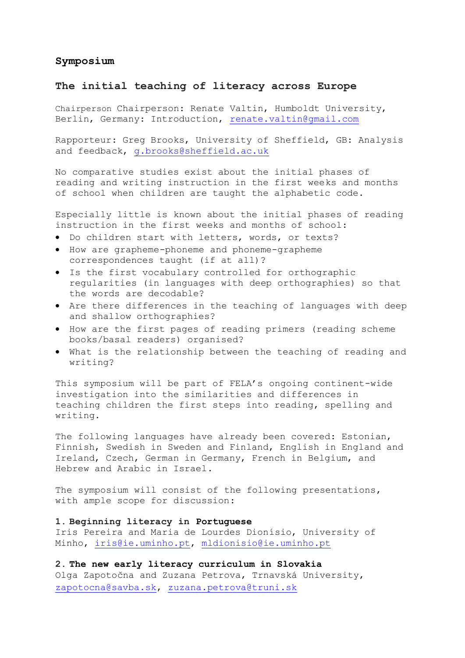### **Symposium**

### **The initial teaching of literacy across Europe**

Chairperson Chairperson: Renate Valtin, Humboldt University, Berlin, Germany: Introduction, [renate.valtin@gmail.com](mailto:renate.valtin@gmail.com)

Rapporteur: Greg Brooks, University of Sheffield, GB: Analysis and feedback, [g.brooks@sheffield.ac.uk](mailto:g.brooks@sheffield.ac.uk)

No comparative studies exist about the initial phases of reading and writing instruction in the first weeks and months of school when children are taught the alphabetic code.

Especially little is known about the initial phases of reading instruction in the first weeks and months of school:

- Do children start with letters, words, or texts?
- How are grapheme-phoneme and phoneme-grapheme correspondences taught (if at all)?
- Is the first vocabulary controlled for orthographic regularities (in languages with deep orthographies) so that the words are decodable?
- Are there differences in the teaching of languages with deep and shallow orthographies?
- How are the first pages of reading primers (reading scheme books/basal readers) organised?
- What is the relationship between the teaching of reading and writing?

This symposium will be part of FELA's ongoing continent-wide investigation into the similarities and differences in teaching children the first steps into reading, spelling and writing.

The following languages have already been covered: Estonian, Finnish, Swedish in Sweden and Finland, English in England and Ireland, Czech, German in Germany, French in Belgium, and Hebrew and Arabic in Israel.

The symposium will consist of the following presentations, with ample scope for discussion:

#### **1. Beginning literacy in Portuguese**

Iris Pereira and Maria de Lourdes Dionísio, University of Minho, [iris@ie.uminho.pt,](mailto:iris@ie.uminho.pt) [mldionisio@ie.uminho.pt](mailto:mldionisio@ie.uminho.pt)

**2. The new early literacy curriculum in Slovakia**  Olga Zapotočna and Zuzana Petrova, Trnavská University, [zapotocna@savba.sk,](mailto:zapotocna@savba.sk) [zuzana.petrova@truni.sk](mailto:zuzana.petrova@truni.sk)